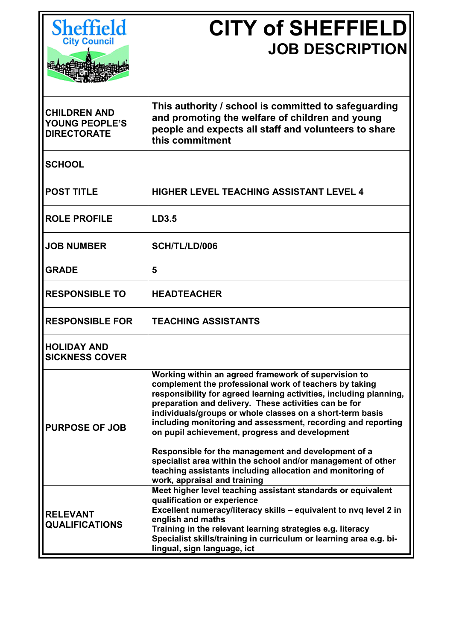

## **CITY of SHEFFIELD JOB DESCRIPTION**

| <b>CHILDREN AND</b><br><b>YOUNG PEOPLE'S</b><br><b>DIRECTORATE</b> | This authority / school is committed to safeguarding<br>and promoting the welfare of children and young<br>people and expects all staff and volunteers to share<br>this commitment                                                                                                                                                                                                                                                                                                                                                                                                                                                                |
|--------------------------------------------------------------------|---------------------------------------------------------------------------------------------------------------------------------------------------------------------------------------------------------------------------------------------------------------------------------------------------------------------------------------------------------------------------------------------------------------------------------------------------------------------------------------------------------------------------------------------------------------------------------------------------------------------------------------------------|
| <b>SCHOOL</b>                                                      |                                                                                                                                                                                                                                                                                                                                                                                                                                                                                                                                                                                                                                                   |
| <b>POST TITLE</b>                                                  | <b>HIGHER LEVEL TEACHING ASSISTANT LEVEL 4</b>                                                                                                                                                                                                                                                                                                                                                                                                                                                                                                                                                                                                    |
| <b>ROLE PROFILE</b>                                                | LD3.5                                                                                                                                                                                                                                                                                                                                                                                                                                                                                                                                                                                                                                             |
| <b>JOB NUMBER</b>                                                  | SCH/TL/LD/006                                                                                                                                                                                                                                                                                                                                                                                                                                                                                                                                                                                                                                     |
| <b>GRADE</b>                                                       | 5                                                                                                                                                                                                                                                                                                                                                                                                                                                                                                                                                                                                                                                 |
| <b>RESPONSIBLE TO</b>                                              | <b>HEADTEACHER</b>                                                                                                                                                                                                                                                                                                                                                                                                                                                                                                                                                                                                                                |
| <b>RESPONSIBLE FOR</b>                                             | <b>TEACHING ASSISTANTS</b>                                                                                                                                                                                                                                                                                                                                                                                                                                                                                                                                                                                                                        |
| <b>HOLIDAY AND</b><br><b>SICKNESS COVER</b>                        |                                                                                                                                                                                                                                                                                                                                                                                                                                                                                                                                                                                                                                                   |
| <b>PURPOSE OF JOB</b>                                              | Working within an agreed framework of supervision to<br>complement the professional work of teachers by taking<br>responsibility for agreed learning activities, including planning,<br>preparation and delivery. These activities can be for<br>individuals/groups or whole classes on a short-term basis<br>including monitoring and assessment, recording and reporting<br>on pupil achievement, progress and development<br>Responsible for the management and development of a<br>specialist area within the school and/or management of other<br>teaching assistants including allocation and monitoring of<br>work, appraisal and training |
| <b>RELEVANT</b><br><b>QUALIFICATIONS</b>                           | Meet higher level teaching assistant standards or equivalent<br>qualification or experience<br>Excellent numeracy/literacy skills - equivalent to nvq level 2 in<br>english and maths<br>Training in the relevant learning strategies e.g. literacy<br>Specialist skills/training in curriculum or learning area e.g. bi-<br>lingual, sign language, ict                                                                                                                                                                                                                                                                                          |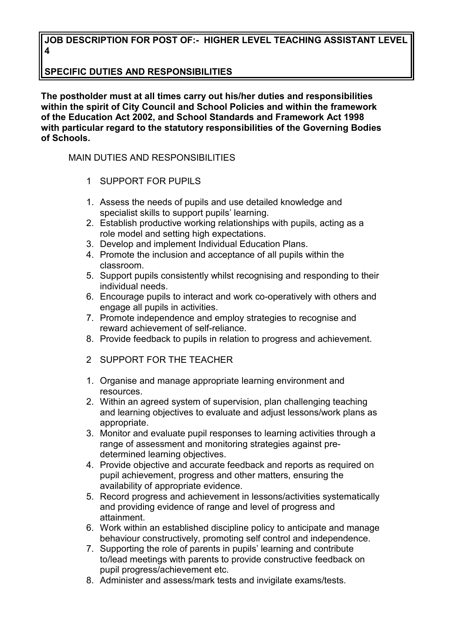## **JOB DESCRIPTION FOR POST OF:- HIGHER LEVEL TEACHING ASSISTANT LEVEL 4**

## **SPECIFIC DUTIES AND RESPONSIBILITIES**

**The postholder must at all times carry out his/her duties and responsibilities within the spirit of City Council and School Policies and within the framework of the Education Act 2002, and School Standards and Framework Act 1998 with particular regard to the statutory responsibilities of the Governing Bodies of Schools.**

## MAIN DUTIES AND RESPONSIBILITIES

- 1 SUPPORT FOR PUPILS
- 1. Assess the needs of pupils and use detailed knowledge and specialist skills to support pupils' learning.
- 2. Establish productive working relationships with pupils, acting as a role model and setting high expectations.
- 3. Develop and implement Individual Education Plans.
- 4. Promote the inclusion and acceptance of all pupils within the classroom.
- 5. Support pupils consistently whilst recognising and responding to their individual needs.
- 6. Encourage pupils to interact and work co-operatively with others and engage all pupils in activities.
- 7. Promote independence and employ strategies to recognise and reward achievement of self-reliance.
- 8. Provide feedback to pupils in relation to progress and achievement.
- 2 SUPPORT FOR THE TEACHER
- 1. Organise and manage appropriate learning environment and resources.
- 2. Within an agreed system of supervision, plan challenging teaching and learning objectives to evaluate and adjust lessons/work plans as appropriate.
- 3. Monitor and evaluate pupil responses to learning activities through a range of assessment and monitoring strategies against predetermined learning objectives.
- 4. Provide objective and accurate feedback and reports as required on pupil achievement, progress and other matters, ensuring the availability of appropriate evidence.
- 5. Record progress and achievement in lessons/activities systematically and providing evidence of range and level of progress and attainment.
- 6. Work within an established discipline policy to anticipate and manage behaviour constructively, promoting self control and independence.
- 7. Supporting the role of parents in pupils' learning and contribute to/lead meetings with parents to provide constructive feedback on pupil progress/achievement etc.
- 8. Administer and assess/mark tests and invigilate exams/tests.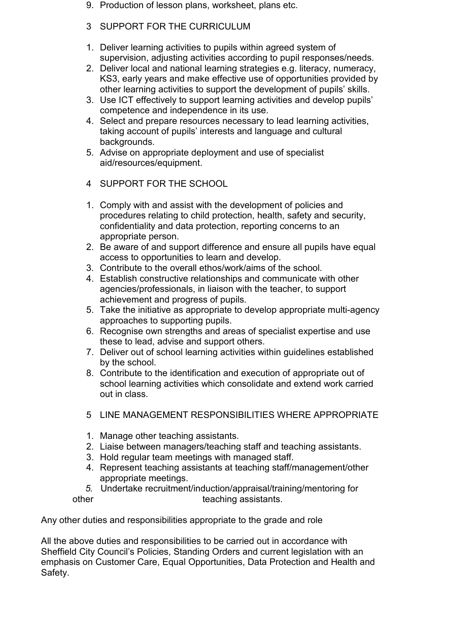- 9. Production of lesson plans, worksheet, plans etc.
- 3 SUPPORT FOR THE CURRICULUM
- 1. Deliver learning activities to pupils within agreed system of supervision, adjusting activities according to pupil responses/needs.
- 2. Deliver local and national learning strategies e.g. literacy, numeracy, KS3, early years and make effective use of opportunities provided by other learning activities to support the development of pupils' skills.
- 3. Use ICT effectively to support learning activities and develop pupils' competence and independence in its use.
- 4. Select and prepare resources necessary to lead learning activities, taking account of pupils' interests and language and cultural backgrounds.
- 5. Advise on appropriate deployment and use of specialist aid/resources/equipment.
- 4 SUPPORT FOR THE SCHOOL
- 1. Comply with and assist with the development of policies and procedures relating to child protection, health, safety and security, confidentiality and data protection, reporting concerns to an appropriate person.
- 2. Be aware of and support difference and ensure all pupils have equal access to opportunities to learn and develop.
- 3. Contribute to the overall ethos/work/aims of the school.
- 4. Establish constructive relationships and communicate with other agencies/professionals, in liaison with the teacher, to support achievement and progress of pupils.
- 5. Take the initiative as appropriate to develop appropriate multi-agency approaches to supporting pupils.
- 6. Recognise own strengths and areas of specialist expertise and use these to lead, advise and support others.
- 7. Deliver out of school learning activities within guidelines established by the school.
- 8. Contribute to the identification and execution of appropriate out of school learning activities which consolidate and extend work carried out in class.
- 5 LINE MANAGEMENT RESPONSIBILITIES WHERE APPROPRIATE
- 1. Manage other teaching assistants.
- 2. Liaise between managers/teaching staff and teaching assistants.
- 3. Hold regular team meetings with managed staff.
- 4. Represent teaching assistants at teaching staff/management/other appropriate meetings.
- *5.* Undertake recruitment/induction/appraisal/training/mentoring for other teaching assistants.

Any other duties and responsibilities appropriate to the grade and role

All the above duties and responsibilities to be carried out in accordance with Sheffield City Council's Policies, Standing Orders and current legislation with an emphasis on Customer Care, Equal Opportunities, Data Protection and Health and Safety.